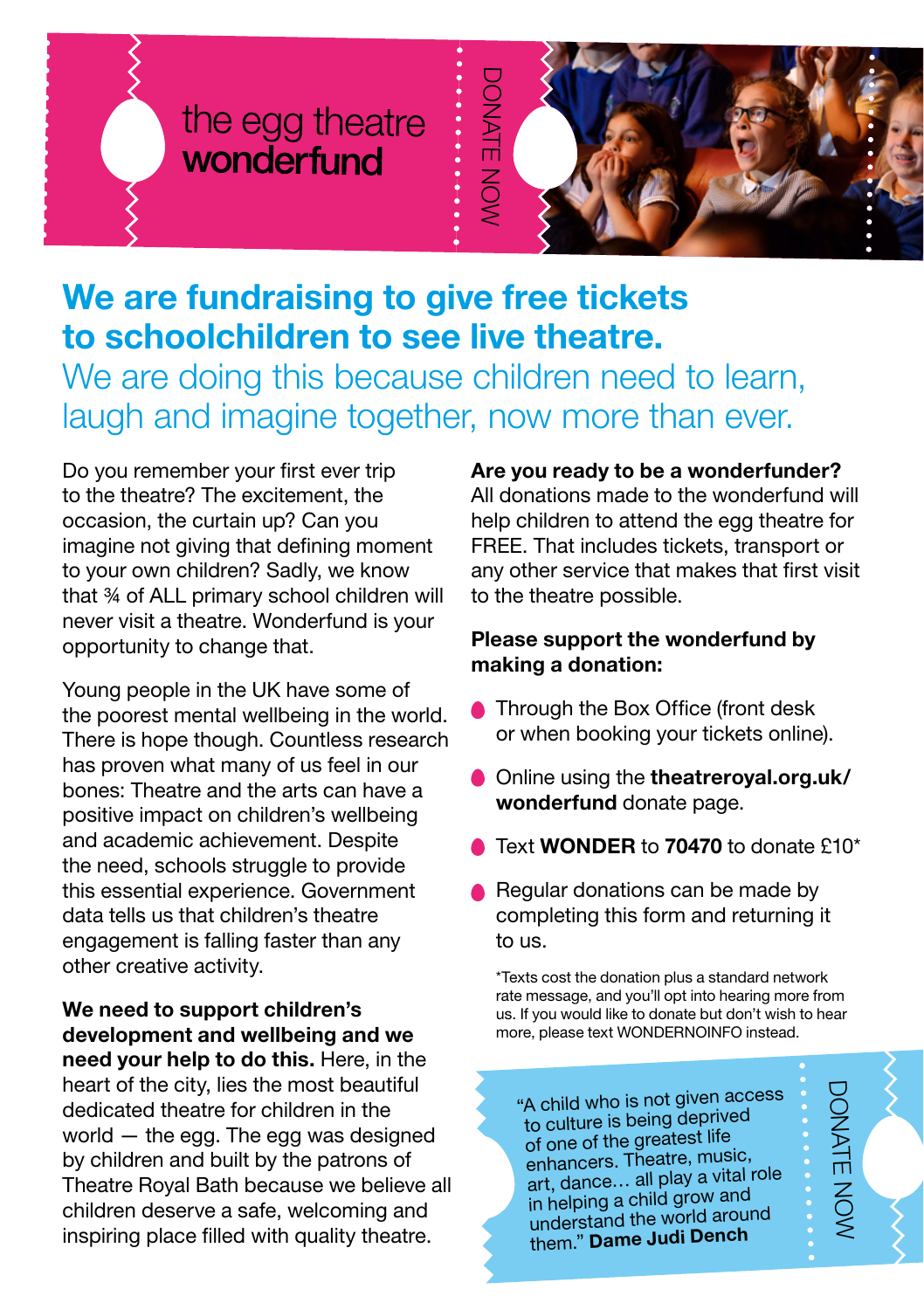# the egg theatre wonderfund



## We are fundraising to give free tickets to schoolchildren to see live theatre. We are doing this because children need to learn, laugh and imagine together, now more than ever.

Do you remember your first ever trip to the theatre? The excitement, the occasion, the curtain up? Can you imagine not giving that defining moment to your own children? Sadly, we know that ¾ of ALL primary school children will never visit a theatre. Wonderfund is your opportunity to change that.

Young people in the UK have some of the poorest mental wellbeing in the world. There is hope though. Countless research has proven what many of us feel in our bones: Theatre and the arts can have a positive impact on children's wellbeing and academic achievement. Despite the need, schools struggle to provide this essential experience. Government data tells us that children's theatre engagement is falling faster than any other creative activity.

We need to support children's development and wellbeing and we need your help to do this. Here, in the heart of the city, lies the most beautiful dedicated theatre for children in the world — the egg. The egg was designed by children and built by the patrons of Theatre Royal Bath because we believe all children deserve a safe, welcoming and inspiring place filled with quality theatre.

Are you ready to be a wonderfunder?

All donations made to the wonderfund will help children to attend the egg theatre for FREE. That includes tickets, transport or any other service that makes that first visit to the theatre possible.

#### Please support the wonderfund by making a donation:

- **Through the Box Office (front desk** or when booking your tickets online).
- Online using the **theatreroyal.org.uk/** wonderfund donate page.
- Text **WONDER** to **70470** to donate £10\*
- Regular donations can be made by completing this form and returning it to us.

\*Texts cost the donation plus a standard network rate message, and you'll opt into hearing more from us. If you would like to donate but don't wish to hear more, please text WONDERNOINFO instead.

"A child who is not given access to culture is being deprived of one of the greatest life enhancers. Theatre, music, art, dance… all play a vital role in helping a child grow an<sup>d</sup> understand the world around them." Dame Judi Denc<sup>h</sup>

DONATE NOW

DONATE NOW